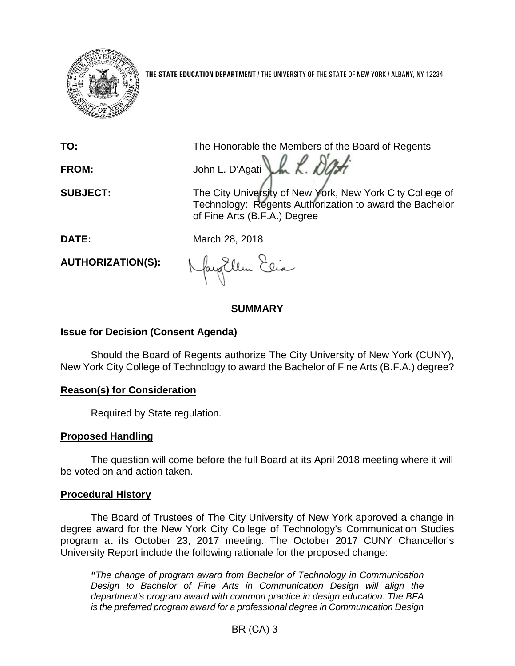

**THE STATE EDUCATION DEPARTMENT** / THE UNIVERSITY OF THE STATE OF NEW YORK / ALBANY, NY 12234

**TO:** The Honorable the Members of the Board of Regents FROM: John L. D'Agati her R. D'A

**SUBJECT:** The City University of New York, New York City College of Technology: Regents Authorization to award the Bachelor of Fine Arts (B.F.A.) Degree

**DATE:** March 28, 2018

**AUTHORIZATION(S):**

fayEllen Elia

# **SUMMARY**

# **Issue for Decision (Consent Agenda)**

Should the Board of Regents authorize The City University of New York (CUNY), New York City College of Technology to award the Bachelor of Fine Arts (B.F.A.) degree?

## **Reason(s) for Consideration**

Required by State regulation.

## **Proposed Handling**

The question will come before the full Board at its April 2018 meeting where it will be voted on and action taken.

## **Procedural History**

The Board of Trustees of The City University of New York approved a change in degree award for the New York City College of Technology's Communication Studies program at its October 23, 2017 meeting. The October 2017 CUNY Chancellor's University Report include the following rationale for the proposed change:

*"The change of program award from Bachelor of Technology in Communication Design to Bachelor of Fine Arts in Communication Design will align the department's program award with common practice in design education. The BFA is the preferred program award for a professional degree in Communication Design*